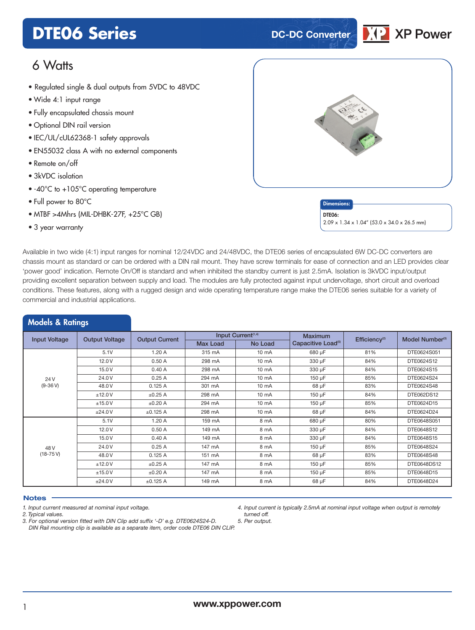## **DTE06 Series DTE06 Series**

## **XP Power**

## 6 Watts

- Regulated single & dual outputs from 5VDC to 48VDC
- **xxx Series** Wide 4:1 input range
- Fully encapsulated chassis mount
- Optional DIN rail version
- IEC/UL/cUL62368-1 safety approvals
- EN55032 class A with no external components
- Remote on/off
- 3kVDC isolation
- -40°C to +105°C operating temperature
- Full power to 80°C
- MTBF >4Mhrs (MIL-DHBK-27F, +25°C GB)
- 3 year warranty

Models & Ratings



2.09 x 1.34 x 1.04" (53.0 x 34.0 x 26.5 mm)

DTE06:

Available in two wide (4:1) input ranges for nominal 12/24VDC and 24/48VDC, the DTE06 series of encapsulated 6W DC-DC converters are chassis mount as standard or can be ordered with a DIN rail mount. They have screw terminals for ease of connection and an LED provides clear 'power good' indication. Remote On/Off is standard and when inhibited the standby current is just 2.5mA. Isolation is 3kVDC input/output providing excellent separation between supply and load. The modules are fully protected against input undervoltage, short circuit and overload conditions. These features, along with a rugged design and wide operating temperature range make the DTE06 series suitable for a variety of commercial and industrial applications.

|                      | -                     |                       |                 |                                |                                |                           |                             |
|----------------------|-----------------------|-----------------------|-----------------|--------------------------------|--------------------------------|---------------------------|-----------------------------|
| <b>Input Voltage</b> | <b>Output Voltage</b> | <b>Output Current</b> |                 | Input Current <sup>(1,4)</sup> | <b>Maximum</b>                 | Efficiency <sup>(2)</sup> | Model Number <sup>(3)</sup> |
|                      |                       |                       | <b>Max Load</b> | No Load                        | Capacitive Load <sup>(5)</sup> |                           |                             |
|                      | 5.1V                  | 1.20A                 | 315 mA          | $10 \text{ mA}$                | 680 µF                         | 81%                       | DTE0624S051                 |
|                      | 12.0V                 | 0.50A                 | 298 mA          | $10 \text{ mA}$                | 330 µF                         | 84%                       | DTE0624S12                  |
|                      | 15.0 V                | 0.40A                 | 298 mA          | $10 \text{ mA}$                | 330 µF                         | 84%                       | DTE0624S15                  |
| 24 V                 | 24.0 V                | 0.25A                 | 294 mA          | 10 mA                          | 150 µF                         | 85%                       | DTE0624S24                  |
| $(9-36V)$            | 48.0 V                | 0.125A                | 301 mA          | 10 mA                          | 68 µF                          | 83%                       | DTE0624S48                  |
|                      | ±12.0V                | $\pm 0.25$ A          | 298 mA          | 10 mA                          | 150 µF                         | 84%                       | DTE062DS12                  |
|                      | ±15.0V                | $\pm 0.20$ A          | 294 mA          | 10 mA                          | 150 µF                         | 85%                       | DTE0624D15                  |
|                      | ±24.0V                | ±0.125 A              | 298 mA          | 10 mA                          | 68 µF                          | 84%                       | DTE0624D24                  |
|                      | 5.1V                  | 1.20A                 | 159 mA          | 8 mA                           | 680 µF                         | 80%                       | DTE0648S051                 |
|                      | 12.0 V                | 0.50A                 | 149 mA          | 8 mA                           | 330 µF                         | 84%                       | DTE0648S12                  |
|                      | 15.0 V                | 0.40A                 | 149 mA          | 8 mA                           | 330 µF                         | 84%                       | DTE0648S15                  |
| 48 V                 | 24.0 V                | 0.25A                 | 147 mA          | 8 mA                           | 150 µF                         | 85%                       | DTE0648S24                  |
| $(18-75V)$           | 48.0 V                | 0.125A                | 151 mA          | 8 mA                           | 68 µF                          | 83%                       | DTE0648S48                  |
|                      | ±12.0V                | $\pm 0.25$ A          | 147 mA          | 8 mA                           | 150 µF                         | 85%                       | DTE0648DS12                 |
|                      | ±15.0V                | $\pm 0.20$ A          | 147 mA          | 8 mA                           | $150 \mu F$                    | 85%                       | DTE0648D15                  |
|                      | ±24.0V                | ±0.125 A              | 149 mA          | 8 mA                           | 68 µF                          | 84%                       | DTE0648D24                  |

#### **Notes**

*1. Input current measured at nominal input voltage.*

*2. Typical values.*

*3. For optional version fitted with DIN Clip add suffix '-D' e.g. DTE0624S24-D. DIN Rail mounting clip is available as a separate item, order code DTE06 DIN CLIP.*

*4. Input current is typically 2.5mA at nominal input voltage when output is remotely turned off.*

*5. Per output.*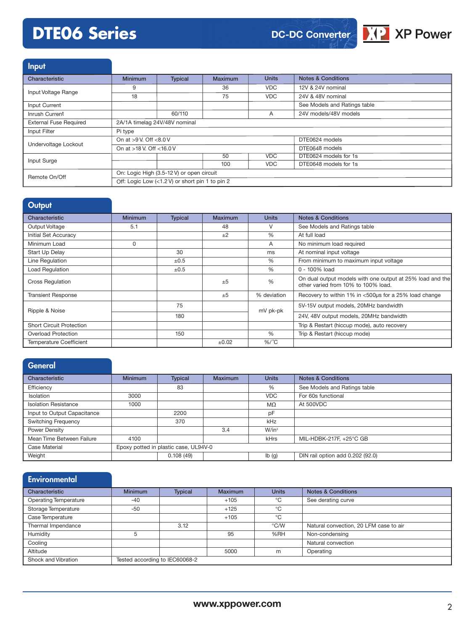# **DTE06 Series**



| Input                         |                                                 |                |                |                                       |                               |  |  |
|-------------------------------|-------------------------------------------------|----------------|----------------|---------------------------------------|-------------------------------|--|--|
| Characteristic                | <b>Minimum</b>                                  | <b>Typical</b> | <b>Maximum</b> | <b>Units</b>                          | <b>Notes &amp; Conditions</b> |  |  |
| Input Voltage Range           | 9                                               |                | 36             | <b>VDC</b>                            | 12V & 24V nominal             |  |  |
|                               | 18                                              |                | 75             | <b>VDC</b>                            | 24V & 48V nominal             |  |  |
| Input Current                 |                                                 |                |                |                                       | See Models and Ratings table  |  |  |
| Inrush Current                |                                                 | 60/110         |                | A                                     | 24V models/48V models         |  |  |
| <b>External Fuse Required</b> | 2A/1A timelag 24V/48V nominal                   |                |                |                                       |                               |  |  |
| Input Filter                  | Pi type                                         |                |                |                                       |                               |  |  |
|                               | On at $>9$ V. Off $<8.0$ V                      |                |                | DTE0624 models                        |                               |  |  |
| Undervoltage Lockout          | On at >18 V. Off <16.0 V                        |                |                | <b>VDC</b><br>50<br><b>VDC</b><br>100 | DTE0648 models                |  |  |
|                               |                                                 |                |                |                                       | DTE0624 models for 1s         |  |  |
| Input Surge                   |                                                 |                |                |                                       | DTE0648 models for 1s         |  |  |
| Remote On/Off                 | On: Logic High (3.5-12 V) or open circuit       |                |                |                                       |                               |  |  |
|                               | Off: Logic Low (<1.2 V) or short pin 1 to pin 2 |                |                |                                       |                               |  |  |

| Output                          |                |                |         |               |                                                                                                  |
|---------------------------------|----------------|----------------|---------|---------------|--------------------------------------------------------------------------------------------------|
| Characteristic                  | <b>Minimum</b> | <b>Typical</b> | Maximum | <b>Units</b>  | <b>Notes &amp; Conditions</b>                                                                    |
| Output Voltage                  | 5.1            |                | 48      | $\vee$        | See Models and Ratings table                                                                     |
| Initial Set Accuracy            |                |                | $+2$    | $\frac{0}{0}$ | At full load                                                                                     |
| Minimum Load                    | 0              |                |         | A             | No minimum load required                                                                         |
| Start Up Delay                  |                | 30             |         | ms            | At nominal input voltage                                                                         |
| Line Regulation                 |                | ±0.5           |         | %             | From minimum to maximum input voltage                                                            |
| <b>Load Regulation</b>          |                | $\pm 0.5$      |         | $\%$          | 0 - 100% load                                                                                    |
| <b>Cross Regulation</b>         |                |                | $+5$    | $\frac{0}{0}$ | On dual output models with one output at 25% load and the<br>other varied from 10% to 100% load. |
| <b>Transient Response</b>       |                |                | ±5      | % deviation   | Recovery to within 1% in <500µs for a 25% load change                                            |
| Ripple & Noise                  |                | 75             |         | mV pk-pk      | 5V-15V output models, 20MHz bandwidth                                                            |
|                                 |                | 180            |         |               | 24V, 48V output models, 20MHz bandwidth                                                          |
| <b>Short Circuit Protection</b> |                |                |         |               | Trip & Restart (hiccup mode), auto recovery                                                      |
| Overload Protection             |                | 150            |         | $\frac{0}{0}$ | Trip & Restart (hiccup mode)                                                                     |
| <b>Temperature Coefficient</b>  |                |                | ±0.02   | $%$ /°C       |                                                                                                  |

| <b>General</b>              |                |                                       |                |              |                                  |
|-----------------------------|----------------|---------------------------------------|----------------|--------------|----------------------------------|
| Characteristic              | <b>Minimum</b> | <b>Typical</b>                        | <b>Maximum</b> | <b>Units</b> | <b>Notes &amp; Conditions</b>    |
| Efficiency                  |                | 83                                    |                | %            | See Models and Ratings table     |
| <b>Isolation</b>            | 3000           |                                       |                | <b>VDC</b>   | For 60s functional               |
| <b>Isolation Resistance</b> | 1000           |                                       |                | MΩ           | At 500VDC                        |
| Input to Output Capacitance |                | 2200                                  |                | pF           |                                  |
| <b>Switching Frequency</b>  |                | 370                                   |                | kHz          |                                  |
| Power Density               |                |                                       | 3.4            | $W/in^3$     |                                  |
| Mean Time Between Failure   | 4100           |                                       |                | kHrs         | MIL-HDBK-217F, +25°C GB          |
| <b>Case Material</b>        |                | Epoxy potted in plastic case, UL94V-0 |                |              |                                  |
| Weight                      |                | 0.108(49)                             |                | Ib(g)        | DIN rail option add 0.202 (92.0) |

| <b>Environmental</b>         |                                |                |                |               |                                        |
|------------------------------|--------------------------------|----------------|----------------|---------------|----------------------------------------|
| Characteristic               | <b>Minimum</b>                 | <b>Typical</b> | <b>Maximum</b> | <b>Units</b>  | <b>Notes &amp; Conditions</b>          |
| <b>Operating Temperature</b> | $-40$                          |                | $+105$         | °C            | See derating curve                     |
| Storage Temperature          | $-50$                          |                | $+125$         | °C            |                                        |
| Case Temperature             |                                |                | $+105$         | °C            |                                        |
| Thermal Impendance           |                                | 3.12           |                | $\degree$ C/W | Natural convection, 20 LFM case to air |
| Humidity                     | 5                              |                | 95             | %RH           | Non-condensing                         |
| Cooling                      |                                |                |                |               | Natural convection                     |
| Altitude                     |                                |                | 5000           | m             | Operating                              |
| Shock and Vibration          | Tested according to IEC60068-2 |                |                |               |                                        |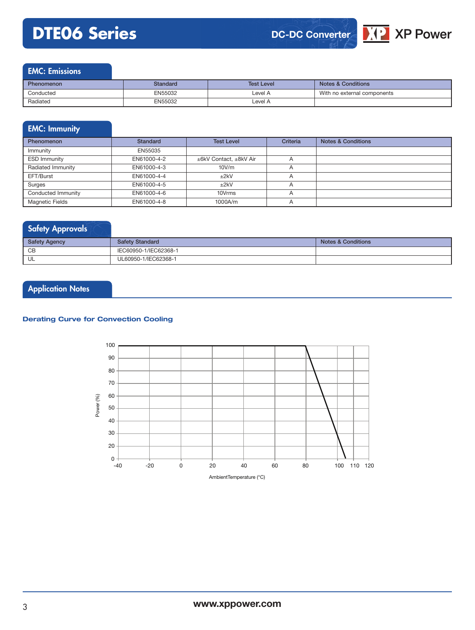# **DTE06 Series**





| Phenomenon | Standard | <b>Test Level</b> | <b>Notes &amp; Conditions</b> |
|------------|----------|-------------------|-------------------------------|
| Conducted  | EN55032  | Level A           | With no external components   |
| Radiated   | EN55032  | Level A           |                               |

### EMC: Immunity

| <b>Phenomenon</b>      | <b>Standard</b> | <b>Test Level</b>      | Criteria       | <b>Notes &amp; Conditions</b> |
|------------------------|-----------------|------------------------|----------------|-------------------------------|
| Immunity               | EN55035         |                        |                |                               |
| <b>ESD Immunity</b>    | EN61000-4-2     | ±6kV Contact, ±8kV Air | $\overline{A}$ |                               |
| Radiated Immunity      | EN61000-4-3     | 10V/m                  |                |                               |
| EFT/Burst              | EN61000-4-4     | ±2kV                   | $\overline{A}$ |                               |
| Surges                 | EN61000-4-5     | ±2kV                   | $\overline{A}$ |                               |
| Conducted Immunity     | EN61000-4-6     | 10Vrms                 | $\overline{A}$ |                               |
| <b>Magnetic Fields</b> | EN61000-4-8     | 1000A/m                | $\overline{A}$ |                               |

### Safety Approvals

| <b>Safety Agency</b> | <b>Safety Standard</b> | Notes & Conditions |
|----------------------|------------------------|--------------------|
| CB                   | IEC60950-1/IEC62368-1  |                    |
| UL                   | UL60950-1/IEC62368-1   |                    |

## **Application Notes**

#### **Derating Curve for Convection Cooling**